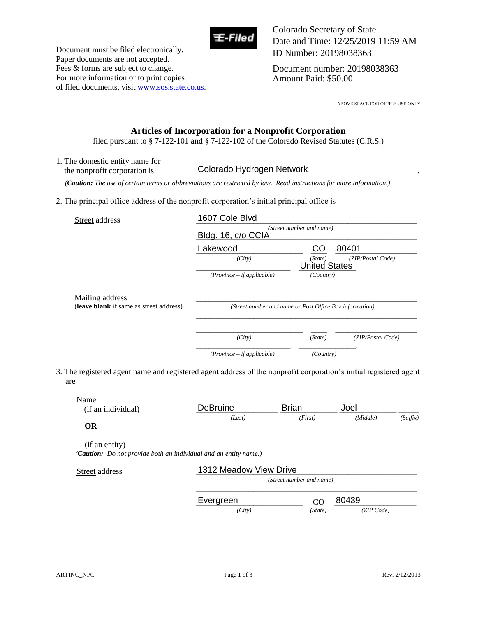

Document must be filed electronically. Paper documents are not accepted. Fees & forms are subject to change. For more information or to print copies of filed documents, visit www.sos.state.co.us. Colorado Secretary of State Date and Time: 12/25/2019 11:59 AM ID Number: 20198038363

Document number: 20198038363 Amount Paid: \$50.00

ABOVE SPACE FOR OFFICE USE ONLY

## **Articles of Incorporation for a Nonprofit Corporation**

filed pursuant to § 7-122-101 and § 7-122-102 of the Colorado Revised Statutes (C.R.S.)

1. The domestic entity name for the nonprofit corporation is  *(Caution: The use of certain terms or abbreviations are restricted by law. Read instructions for more information.)* 2. The principal office address of the nonprofit corporation's initial principal office is Street address and the street and the street and the street and the street and the street and the street and the street and the street and the street and the street and the street and the street and the street and the stre Colorado Hydrogen Network

|                                                            | Bldg. 16, c/o CCIA                                      | (Street number and name)        |                   |
|------------------------------------------------------------|---------------------------------------------------------|---------------------------------|-------------------|
|                                                            | Lakewood                                                | CO                              | 80401             |
|                                                            | (City)                                                  | (State)<br><b>United States</b> | (ZIP/Postal Code) |
|                                                            | $(Province - if applicable)$                            | (Country)                       |                   |
| Mailing address<br>(leave blank if same as street address) | (Street number and name or Post Office Box information) |                                 |                   |
|                                                            | (City)                                                  | (State)                         | (ZIP/Postal Code) |
|                                                            | $(Province - if applicable)$                            | (Country)                       |                   |

3. The registered agent name and registered agent address of the nonprofit corporation's initial registered agent are

| Name<br>(if an individual) | <b>DeBruine</b>                                                          | <b>Brian</b>             | Joel     |          |
|----------------------------|--------------------------------------------------------------------------|--------------------------|----------|----------|
| <b>OR</b>                  | (Last)                                                                   | (First)                  | (Middle) | (Suffix) |
| (if an entity)             |                                                                          |                          |          |          |
|                            |                                                                          |                          |          |          |
|                            | ( <b>Caution:</b> Do not provide both an individual and an entity name.) |                          |          |          |
|                            | 1312 Meadow View Drive                                                   |                          |          |          |
| Street address             |                                                                          | (Street number and name) |          |          |

 *(City) (State) (ZIP Code)*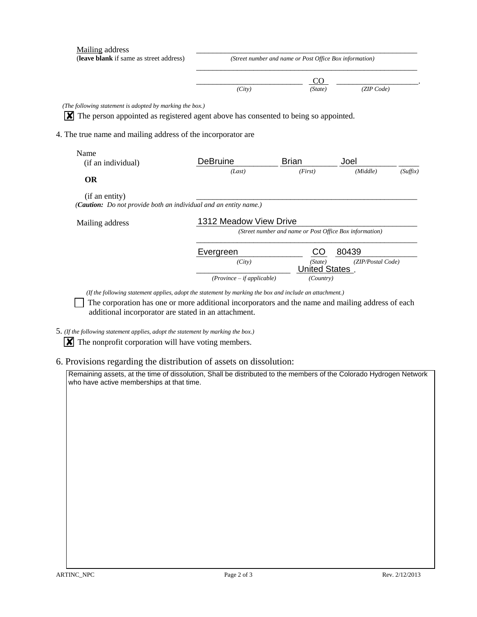| Mailing address<br>(leave blank if same as street address)                                | (Street number and name or Post Office Box information) |                                 |                   |          |  |
|-------------------------------------------------------------------------------------------|---------------------------------------------------------|---------------------------------|-------------------|----------|--|
|                                                                                           |                                                         | CO                              |                   |          |  |
|                                                                                           | (City)                                                  | (State)                         | (ZIP Code)        |          |  |
| (The following statement is adopted by marking the box.)                                  |                                                         |                                 |                   |          |  |
| The person appointed as registered agent above has consented to being so appointed.<br>ΙX |                                                         |                                 |                   |          |  |
| 4. The true name and mailing address of the incorporator are                              |                                                         |                                 |                   |          |  |
|                                                                                           |                                                         |                                 |                   |          |  |
| Name<br>(if an individual)                                                                | <b>DeBruine</b>                                         | <b>Brian</b>                    | Joel              |          |  |
|                                                                                           | (Last)                                                  | (First)                         | (Middle)          | (Suffix) |  |
| <b>OR</b>                                                                                 |                                                         |                                 |                   |          |  |
| (if an entity)<br>(Caution: Do not provide both an individual and an entity name.)        |                                                         |                                 |                   |          |  |
| Mailing address                                                                           | 1312 Meadow View Drive                                  |                                 |                   |          |  |
|                                                                                           | (Street number and name or Post Office Box information) |                                 |                   |          |  |
|                                                                                           |                                                         |                                 | 80439             |          |  |
|                                                                                           | Evergreen                                               | CO                              |                   |          |  |
|                                                                                           | (City)                                                  | (State)<br><b>United States</b> | (ZIP/Postal Code) |          |  |

additional incorporator are stated in an attachment.

5. *(If the following statement applies, adopt the statement by marking the box.)* 

 $\boxed{\mathbf{X}}$  The nonprofit corporation will have voting members.

6. Provisions regarding the distribution of assets on dissolution:

Remaining assets, at the time of dissolution, Shall be distributed to the members of the Colorado Hydrogen Network who have active memberships at that time.